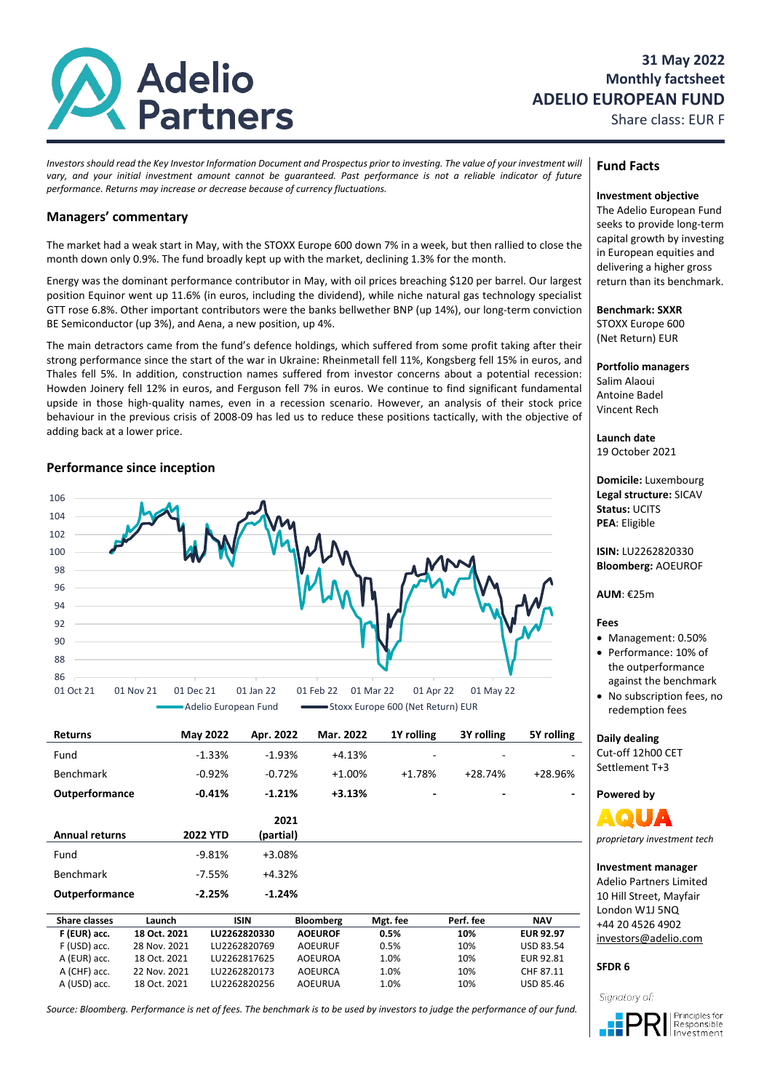

# **31 May 2022 Monthly factsheet ADELIO EUROPEAN FUND**

Share class: EUR F

*Investors should read the Key Investor Information Document and Prospectus prior to investing. The value of your investment will vary, and your initial investment amount cannot be guaranteed. Past performance is not a reliable indicator of future performance. Returns may increase or decrease because of currency fluctuations.*

# **Managers' commentary**

The market had a weak start in May, with the STOXX Europe 600 down 7% in a week, but then rallied to close the month down only 0.9%. The fund broadly kept up with the market, declining 1.3% for the month.

Energy was the dominant performance contributor in May, with oil prices breaching \$120 per barrel. Our largest position Equinor went up 11.6% (in euros, including the dividend), while niche natural gas technology specialist GTT rose 6.8%. Other important contributors were the banks bellwether BNP (up 14%), our long-term conviction BE Semiconductor (up 3%), and Aena, a new position, up 4%.

The main detractors came from the fund's defence holdings, which suffered from some profit taking after their strong performance since the start of the war in Ukraine: Rheinmetall fell 11%, Kongsberg fell 15% in euros, and Thales fell 5%. In addition, construction names suffered from investor concerns about a potential recession: Howden Joinery fell 12% in euros, and Ferguson fell 7% in euros. We continue to find significant fundamental upside in those high-quality names, even in a recession scenario. However, an analysis of their stock price behaviour in the previous crisis of 2008-09 has led us to reduce these positions tactically, with the objective of adding back at a lower price.

# **Performance since inception**



| <b>Returns</b>        | <b>May 2022</b> | Apr. 2022   | Mar. 2022        | 1Y rolling | 3Y rolling               | 5Y rolling |
|-----------------------|-----------------|-------------|------------------|------------|--------------------------|------------|
| Fund                  | $-1.33%$        | $-1.93%$    | $+4.13%$         | ۰          |                          |            |
| Benchmark             | $-0.92%$        | $-0.72%$    | $+1.00%$         | $+1.78%$   | $+28.74%$                | +28.96%    |
| Outperformance        | $-0.41%$        | $-1.21%$    | $+3.13%$         | ٠          | $\overline{\phantom{a}}$ |            |
|                       |                 | 2021        |                  |            |                          |            |
| <b>Annual returns</b> | <b>2022 YTD</b> | (partial)   |                  |            |                          |            |
| Fund                  | $-9.81%$        | +3.08%      |                  |            |                          |            |
| Benchmark             | $-7.55%$        | $+4.32%$    |                  |            |                          |            |
| Outperformance        | $-2.25%$        | $-1.24%$    |                  |            |                          |            |
| <b>Share classes</b>  | Launch          | <b>ISIN</b> | <b>Bloomberg</b> | Mgt. fee   | Perf. fee                | <b>NAV</b> |

| Share classes | Launch       | ISIN         | <b>Bloomberg</b> | Mgt. fee | Pert, tee | NAV              |  |
|---------------|--------------|--------------|------------------|----------|-----------|------------------|--|
| F (EUR) acc.  | 18 Oct. 2021 | LU2262820330 | <b>AOEUROF</b>   | 0.5%     | 10%       | <b>EUR 92.97</b> |  |
| F (USD) acc.  | 28 Nov. 2021 | LU2262820769 | <b>AOEURUF</b>   | 0.5%     | 10%       | USD 83.54        |  |
| A (EUR) acc.  | 18 Oct. 2021 | LU2262817625 | AOEUROA          | 1.0%     | 10%       | EUR 92.81        |  |
| A (CHF) acc.  | 22 Nov. 2021 | LU2262820173 | AOEURCA          | 1.0%     | 10%       | CHF 87.11        |  |
| A (USD) acc.  | 18 Oct. 2021 | LU2262820256 | <b>AOEURUA</b>   | 1.0%     | 10%       | USD 85.46        |  |
|               |              |              |                  |          |           |                  |  |

*Source: Bloomberg. Performance is net of fees. The benchmark is to be used by investors to judge the performance of our fund.*

# **Fund Facts**

### **Investment objective**

The Adelio European Fund seeks to provide long-term capital growth by investing in European equities and delivering a higher gross return than its benchmark.

**Benchmark: SXXR**

STOXX Europe 600 (Net Return) EUR

**Portfolio managers** Salim Alaoui Antoine Badel Vincent Rech

**Launch date** 19 October 2021

**Domicile:** Luxembourg **Legal structure:** SICAV **Status:** UCITS **PEA**: Eligible

**ISIN:** LU2262820330 **Bloomberg:** AOEUROF

## **AUM**: €25m

# **Fees**

- Management: 0.50%
- Performance: 10% of the outperformance against the benchmark
- No subscription fees, no redemption fees

### **Daily dealing**

Cut-off 12h00 CET Settlement T+3

**Powered by**

*proprietary investment tech*

### **Investment manager**

Adelio Partners Limited 10 Hill Street, Mayfair London W1J 5NQ +44 20 4526 4902 [investors@adelio.com](mailto:investors@adelio.com)

**SFDR 6**